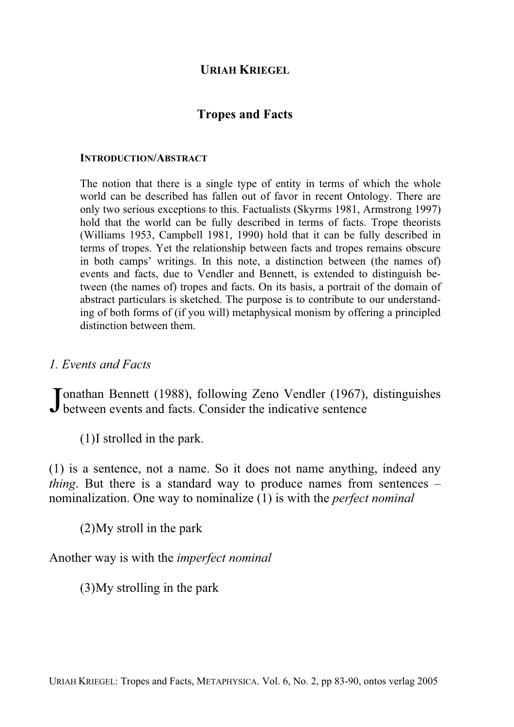## **URIAH KRIEGEL**

### **Tropes and Facts**

#### **INTRODUCTION/ABSTRACT**

The notion that there is a single type of entity in terms of which the whole world can be described has fallen out of favor in recent Ontology. There are only two serious exceptions to this. Factualists (Skyrms 1981, Armstrong 1997) hold that the world can be fully described in terms of facts. Trope theorists (Williams 1953, Campbell 1981, 1990) hold that it can be fully described in terms of tropes. Yet the relationship between facts and tropes remains obscure in both camps' writings. In this note, a distinction between (the names of) events and facts, due to Vendler and Bennett, is extended to distinguish between (the names of) tropes and facts. On its basis, a portrait of the domain of abstract particulars is sketched. The purpose is to contribute to our understanding of both forms of (if you will) metaphysical monism by offering a principled distinction between them.

*1. Events and Facts* 

Tonathan Bennett (1988), following Zeno Vendler (1967), distinguishes Jonathan Bennett (1988), following Zeno Vendler (1967), between events and facts. Consider the indicative sentence

(1) I strolled in the park.

(1) is a sentence, not a name. So it does not name anything, indeed any *thing*. But there is a standard way to produce names from sentences – nominalization. One way to nominalize (1) is with the *perfect nominal*

(2) My stroll in the park

Another way is with the *imperfect nominal*

(3) My strolling in the park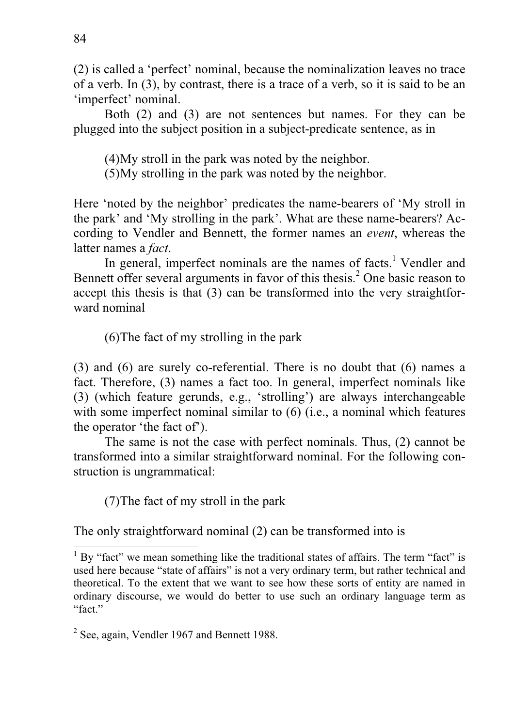(2) is called a 'perfect' nominal, because the nominalization leaves no trace of a verb. In (3), by contrast, there is a trace of a verb, so it is said to be an 'imperfect' nominal.

Both (2) and (3) are not sentences but names. For they can be plugged into the subject position in a subject-predicate sentence, as in

(4) My stroll in the park was noted by the neighbor.

(5) My strolling in the park was noted by the neighbor.

Here 'noted by the neighbor' predicates the name-bearers of 'My stroll in the park' and 'My strolling in the park'. What are these name-bearers? According to Vendler and Bennett, the former names an *event*, whereas the latter names a *fact*.

In general, imperfect nominals are the names of facts.<sup>1</sup> Vendler and Bennett offer several arguments in favor of this thesis.<sup>2</sup> One basic reason to accept this thesis is that (3) can be transformed into the very straightforward nominal

(6) The fact of my strolling in the park

(3) and (6) are surely co-referential. There is no doubt that (6) names a fact. Therefore, (3) names a fact too. In general, imperfect nominals like (3) (which feature gerunds, e.g., 'strolling') are always interchangeable with some imperfect nominal similar to (6) (i.e., a nominal which features the operator 'the fact of').

The same is not the case with perfect nominals. Thus, (2) cannot be transformed into a similar straightforward nominal. For the following construction is ungrammatical:

(7) The fact of my stroll in the park

The only straightforward nominal (2) can be transformed into is

-

<sup>&</sup>lt;sup>1</sup> By "fact" we mean something like the traditional states of affairs. The term "fact" is used here because "state of affairs" is not a very ordinary term, but rather technical and theoretical. To the extent that we want to see how these sorts of entity are named in ordinary discourse, we would do better to use such an ordinary language term as "fact."

<sup>&</sup>lt;sup>2</sup> See, again, Vendler 1967 and Bennett 1988.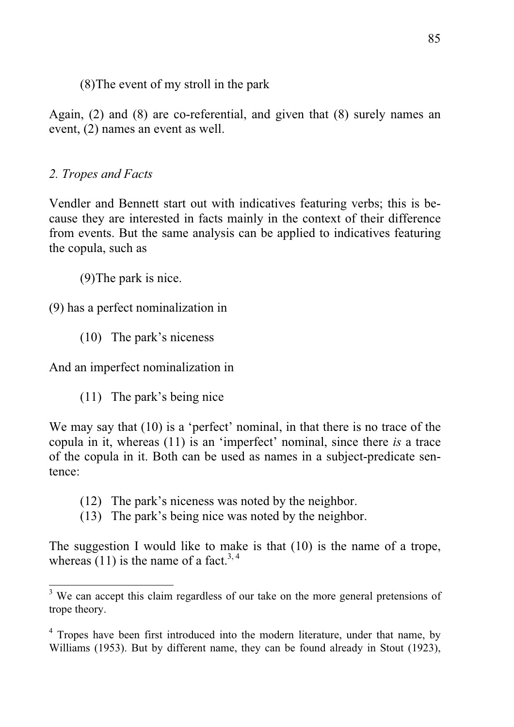(8) The event of my stroll in the park

Again, (2) and (8) are co-referential, and given that (8) surely names an event, (2) names an event as well.

# *2. Tropes and Facts*

Vendler and Bennett start out with indicatives featuring verbs; this is because they are interested in facts mainly in the context of their difference from events. But the same analysis can be applied to indicatives featuring the copula, such as

(9) The park is nice.

(9) has a perfect nominalization in

(10) The park's niceness

And an imperfect nominalization in

(11) The park's being nice

We may say that (10) is a 'perfect' nominal, in that there is no trace of the copula in it, whereas (11) is an 'imperfect' nominal, since there *is* a trace of the copula in it. Both can be used as names in a subject-predicate sentence:

- (12) The park's niceness was noted by the neighbor.
- (13) The park's being nice was noted by the neighbor.

The suggestion I would like to make is that (10) is the name of a trope, whereas  $(11)$  is the name of a fact.<sup>3, 4</sup>

<sup>&</sup>lt;sup>3</sup> We can accept this claim regardless of our take on the more general pretensions of trope theory.

<sup>&</sup>lt;sup>4</sup> Tropes have been first introduced into the modern literature, under that name, by Williams (1953). But by different name, they can be found already in Stout (1923),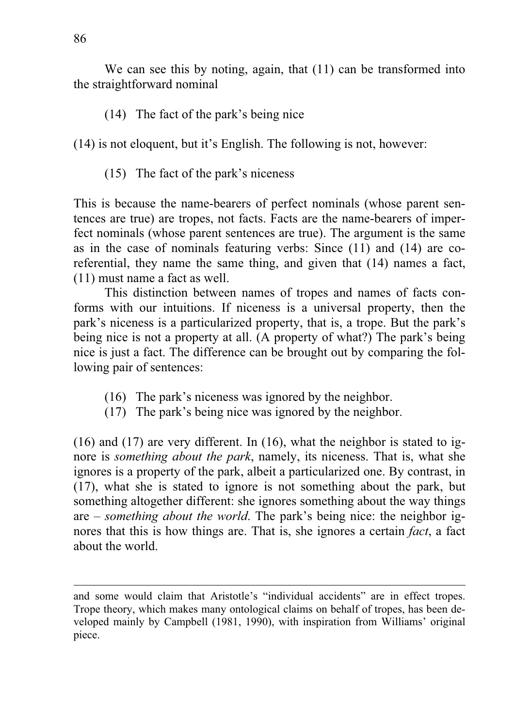We can see this by noting, again, that  $(11)$  can be transformed into the straightforward nominal

(14) The fact of the park's being nice

(14) is not eloquent, but it's English. The following is not, however:

(15) The fact of the park's niceness

This is because the name-bearers of perfect nominals (whose parent sentences are true) are tropes, not facts. Facts are the name-bearers of imperfect nominals (whose parent sentences are true). The argument is the same as in the case of nominals featuring verbs: Since (11) and (14) are coreferential, they name the same thing, and given that (14) names a fact, (11) must name a fact as well.

This distinction between names of tropes and names of facts conforms with our intuitions. If niceness is a universal property, then the park's niceness is a particularized property, that is, a trope. But the park's being nice is not a property at all. (A property of what?) The park's being nice is just a fact. The difference can be brought out by comparing the following pair of sentences:

- (16) The park's niceness was ignored by the neighbor.
- (17) The park's being nice was ignored by the neighbor.

(16) and (17) are very different. In (16), what the neighbor is stated to ignore is *something about the park*, namely, its niceness. That is, what she ignores is a property of the park, albeit a particularized one. By contrast, in (17), what she is stated to ignore is not something about the park, but something altogether different: she ignores something about the way things are – *something about the world*. The park's being nice: the neighbor ignores that this is how things are. That is, she ignores a certain *fact*, a fact about the world.

-

and some would claim that Aristotle's "individual accidents" are in effect tropes. Trope theory, which makes many ontological claims on behalf of tropes, has been developed mainly by Campbell (1981, 1990), with inspiration from Williams' original piece.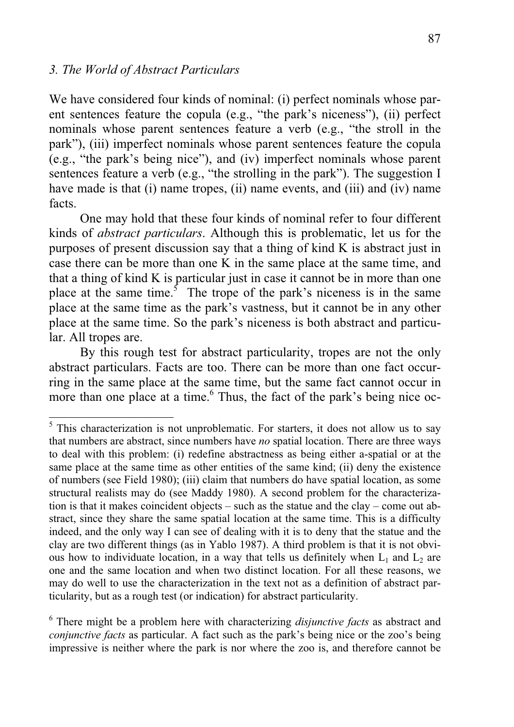#### *3. The World of Abstract Particulars*

We have considered four kinds of nominal: (i) perfect nominals whose parent sentences feature the copula (e.g., "the park's niceness"), (ii) perfect nominals whose parent sentences feature a verb (e.g., "the stroll in the park"), (iii) imperfect nominals whose parent sentences feature the copula (e.g., "the park's being nice"), and (iv) imperfect nominals whose parent sentences feature a verb (e.g., "the strolling in the park"). The suggestion I have made is that (i) name tropes, (ii) name events, and (iii) and (iv) name facts.

 One may hold that these four kinds of nominal refer to four different kinds of *abstract particulars*. Although this is problematic, let us for the purposes of present discussion say that a thing of kind K is abstract just in case there can be more than one K in the same place at the same time, and that a thing of kind K is particular just in case it cannot be in more than one place at the same time.<sup>5</sup> The trope of the park's niceness is in the same place at the same time as the park's vastness, but it cannot be in any other place at the same time. So the park's niceness is both abstract and particular. All tropes are.

 By this rough test for abstract particularity, tropes are not the only abstract particulars. Facts are too. There can be more than one fact occurring in the same place at the same time, but the same fact cannot occur in more than one place at a time.<sup>6</sup> Thus, the fact of the park's being nice oc-

<sup>&</sup>lt;sup>5</sup> This characterization is not unproblematic. For starters, it does not allow us to say that numbers are abstract, since numbers have *no* spatial location. There are three ways to deal with this problem: (i) redefine abstractness as being either a-spatial or at the same place at the same time as other entities of the same kind; (ii) deny the existence of numbers (see Field 1980); (iii) claim that numbers do have spatial location, as some structural realists may do (see Maddy 1980). A second problem for the characterization is that it makes coincident objects – such as the statue and the clay – come out abstract, since they share the same spatial location at the same time. This is a difficulty indeed, and the only way I can see of dealing with it is to deny that the statue and the clay are two different things (as in Yablo 1987). A third problem is that it is not obvious how to individuate location, in a way that tells us definitely when  $L_1$  and  $L_2$  are one and the same location and when two distinct location. For all these reasons, we may do well to use the characterization in the text not as a definition of abstract particularity, but as a rough test (or indication) for abstract particularity.

<sup>6</sup> There might be a problem here with characterizing *disjunctive facts* as abstract and *conjunctive facts* as particular. A fact such as the park's being nice or the zoo's being impressive is neither where the park is nor where the zoo is, and therefore cannot be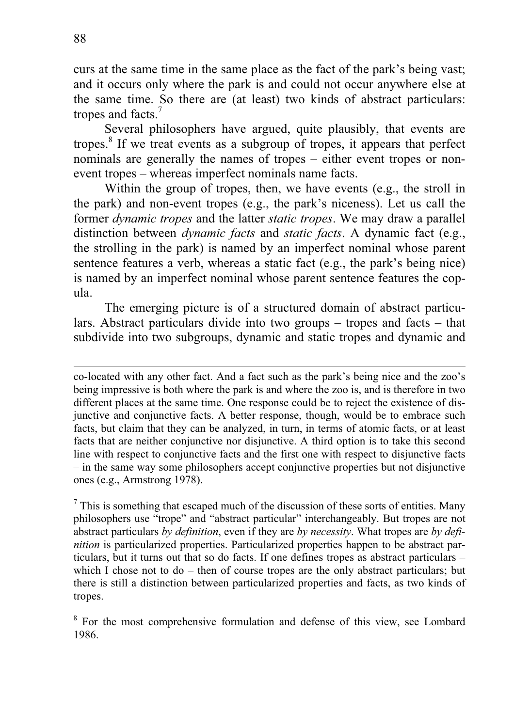curs at the same time in the same place as the fact of the park's being vast; and it occurs only where the park is and could not occur anywhere else at the same time. So there are (at least) two kinds of abstract particulars: tropes and facts.<sup>7</sup>

Several philosophers have argued, quite plausibly, that events are tropes.<sup>8</sup> If we treat events as a subgroup of tropes, it appears that perfect nominals are generally the names of tropes – either event tropes or nonevent tropes – whereas imperfect nominals name facts.

Within the group of tropes, then, we have events (e.g., the stroll in the park) and non-event tropes (e.g., the park's niceness). Let us call the former *dynamic tropes* and the latter *static tropes*. We may draw a parallel distinction between *dynamic facts* and *static facts*. A dynamic fact (e.g., the strolling in the park) is named by an imperfect nominal whose parent sentence features a verb, whereas a static fact (e.g., the park's being nice) is named by an imperfect nominal whose parent sentence features the copula.

The emerging picture is of a structured domain of abstract particulars. Abstract particulars divide into two groups – tropes and facts – that subdivide into two subgroups, dynamic and static tropes and dynamic and

co-located with any other fact. And a fact such as the park's being nice and the zoo's being impressive is both where the park is and where the zoo is, and is therefore in two different places at the same time. One response could be to reject the existence of disjunctive and conjunctive facts. A better response, though, would be to embrace such facts, but claim that they can be analyzed, in turn, in terms of atomic facts, or at least facts that are neither conjunctive nor disjunctive. A third option is to take this second line with respect to conjunctive facts and the first one with respect to disjunctive facts – in the same way some philosophers accept conjunctive properties but not disjunctive ones (e.g., Armstrong 1978).

 $<sup>7</sup>$  This is something that escaped much of the discussion of these sorts of entities. Many</sup> philosophers use "trope" and "abstract particular" interchangeably. But tropes are not abstract particulars *by definition*, even if they are *by necessity*. What tropes are *by definition* is particularized properties. Particularized properties happen to be abstract particulars, but it turns out that so do facts. If one defines tropes as abstract particulars – which I chose not to do – then of course tropes are the only abstract particulars; but there is still a distinction between particularized properties and facts, as two kinds of tropes.

<sup>8</sup> For the most comprehensive formulation and defense of this view, see Lombard 1986.

 $\overline{a}$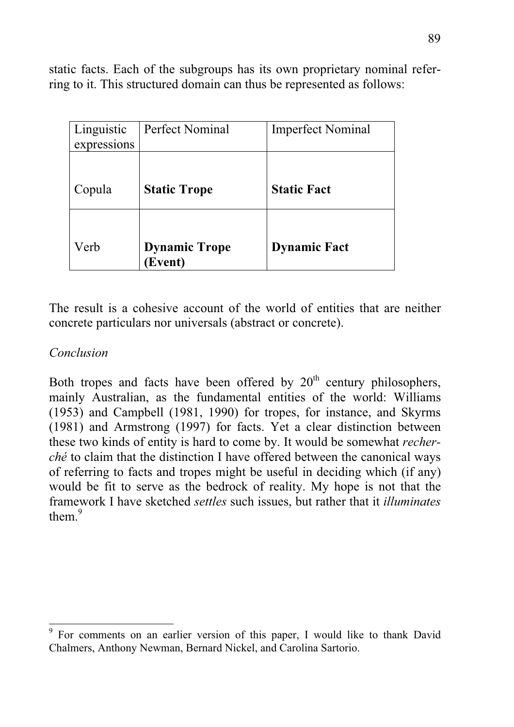static facts. Each of the subgroups has its own proprietary nominal referring to it. This structured domain can thus be represented as follows:

| Linguistic<br>expressions | <b>Perfect Nominal</b>          | <b>Imperfect Nominal</b> |
|---------------------------|---------------------------------|--------------------------|
| Copula                    | <b>Static Trope</b>             | <b>Static Fact</b>       |
| Verb                      | <b>Dynamic Trope</b><br>(Event) | <b>Dynamic Fact</b>      |

The result is a cohesive account of the world of entities that are neither concrete particulars nor universals (abstract or concrete).

## *Conclusion*

Both tropes and facts have been offered by  $20<sup>th</sup>$  century philosophers, mainly Australian, as the fundamental entities of the world: Williams (1953) and Campbell (1981, 1990) for tropes, for instance, and Skyrms (1981) and Armstrong (1997) for facts. Yet a clear distinction between these two kinds of entity is hard to come by. It would be somewhat *recherché* to claim that the distinction I have offered between the canonical ways of referring to facts and tropes might be useful in deciding which (if any) would be fit to serve as the bedrock of reality. My hope is not that the framework I have sketched *settles* such issues, but rather that it *illuminates* them $<sup>9</sup>$ </sup>

<sup>&</sup>lt;sup>9</sup> For comments on an earlier version of this paper, I would like to thank David Chalmers, Anthony Newman, Bernard Nickel, and Carolina Sartorio.